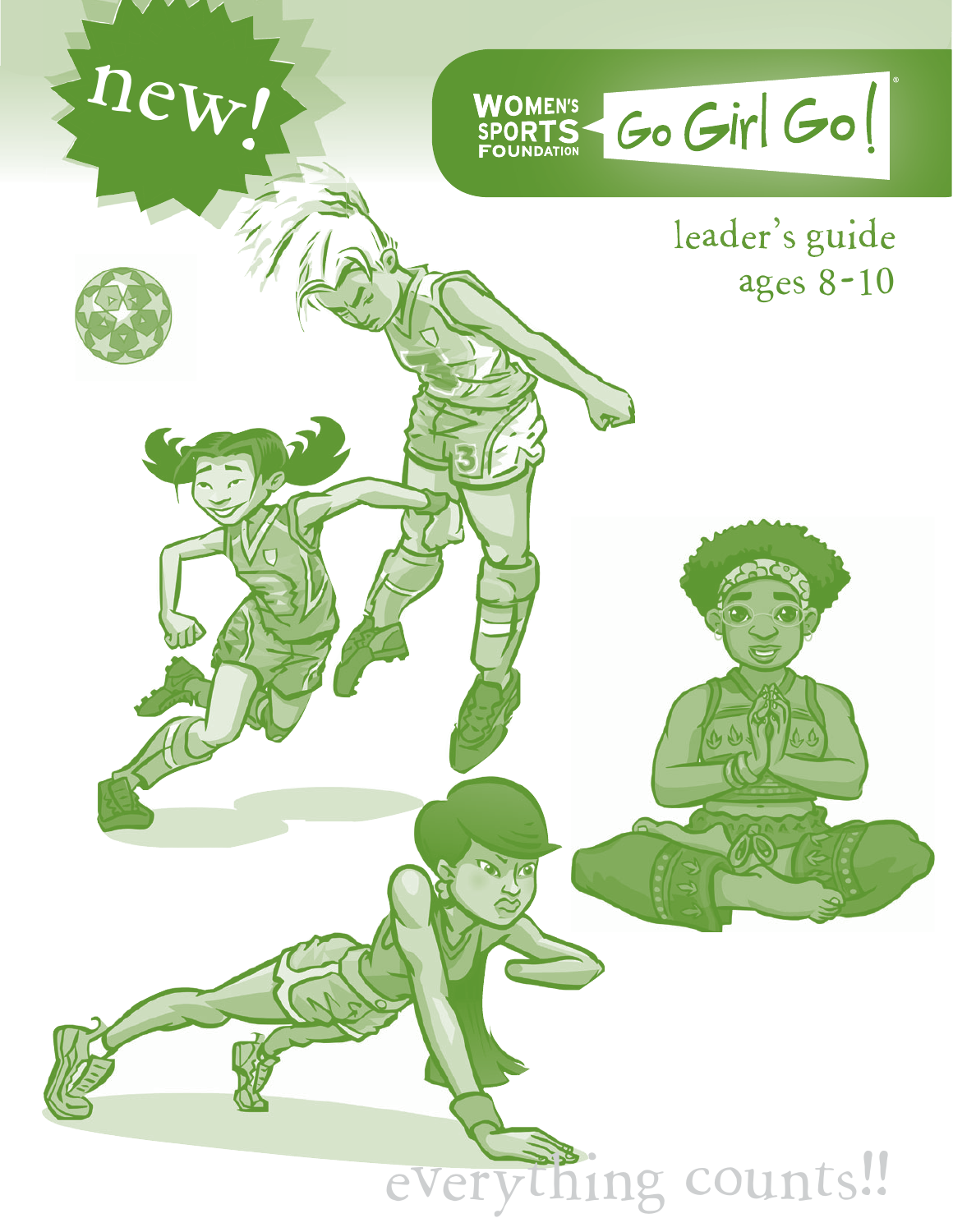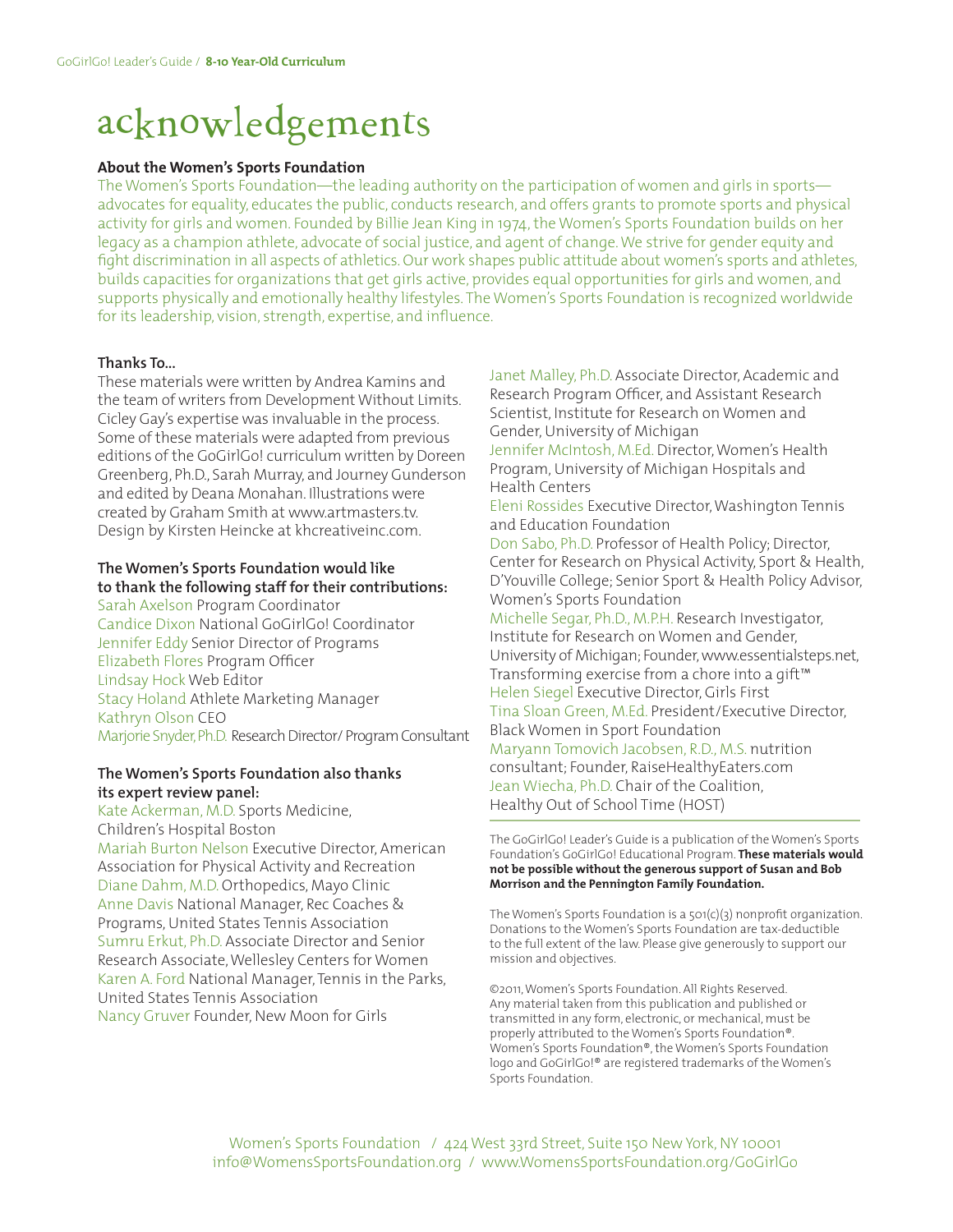## acknowledgements

#### **About the Women's Sports Foundation**

The Women's Sports Foundation—the leading authority on the participation of women and girls in sports advocates for equality, educates the public, conducts research, and offers grants to promote sports and physical activity for girls and women. Founded by Billie Jean King in 1974, the Women's Sports Foundation builds on her legacy as a champion athlete, advocate of social justice, and agent of change. We strive for gender equity and fight discrimination in all aspects of athletics. Our work shapes public attitude about women's sports and athletes, builds capacities for organizations that get girls active, provides equal opportunities for girls and women, and supports physically and emotionally healthy lifestyles. The Women's Sports Foundation is recognized worldwide for its leadership, vision, strength, expertise, and influence.

#### **Thanks To...**

These materials were written by Andrea Kamins and the team of writers from Development Without Limits. Cicley Gay's expertise was invaluable in the process. Some of these materials were adapted from previous editions of the GoGirlGo! curriculum written by Doreen Greenberg, Ph.D., Sarah Murray, and Journey Gunderson and edited by Deana Monahan. Illustrations were created by Graham Smith at www.artmasters.tv. Design by Kirsten Heincke at khcreativeinc.com.

#### **The Women's Sports Foundation would like to thank the following staff for their contributions:**

Sarah Axelson Program Coordinator Candice Dixon National GoGirlGo! Coordinator Jennifer Eddy Senior Director of Programs Elizabeth Flores Program Officer Lindsay Hock Web Editor Stacy Holand Athlete Marketing Manager Kathryn Olson CEO Marjorie Snyder, Ph.D. Research Director/ Program Consultant

#### **The Women's Sports Foundation also thanks its expert review panel:**

Kate Ackerman, M.D. Sports Medicine, Children's Hospital Boston Mariah Burton Nelson Executive Director, American Association for Physical Activity and Recreation Diane Dahm, M.D. Orthopedics, Mayo Clinic Anne Davis National Manager, Rec Coaches & Programs, United States Tennis Association Sumru Erkut, Ph.D. Associate Director and Senior Research Associate, Wellesley Centers for Women Karen A. Ford National Manager, Tennis in the Parks, United States Tennis Association Nancy Gruver Founder, New Moon for Girls

Janet Malley, Ph.D. Associate Director, Academic and Research Program Officer, and Assistant Research Scientist, Institute for Research on Women and Gender, University of Michigan Jennifer McIntosh, M.Ed. Director, Women's Health Program, University of Michigan Hospitals and Health Centers Eleni Rossides Executive Director, Washington Tennis and Education Foundation Don Sabo, Ph.D. Professor of Health Policy; Director, Center for Research on Physical Activity, Sport & Health, D'Youville College; Senior Sport & Health Policy Advisor, Women's Sports Foundation Michelle Segar, Ph.D., M.P.H. Research Investigator, Institute for Research on Women and Gender, University of Michigan; Founder, www.essentialsteps.net, Transforming exercise from a chore into a gift™ Helen Siegel Executive Director, Girls First Tina Sloan Green, M.Ed. President/Executive Director, Black Women in Sport Foundation Maryann Tomovich Jacobsen, R.D., M.S. nutrition consultant; Founder, RaiseHealthyEaters.com Jean Wiecha, Ph.D. Chair of the Coalition, Healthy Out of School Time (HOST)

The GoGirlGo! Leader's Guide is a publication of the Women's Sports Foundation's GoGirlGo! Educational Program. **These materials would not be possible without the generous support of Susan and Bob Morrison and the Pennington Family Foundation.**

The Women's Sports Foundation is a 501(c)(3) nonprofit organization. Donations to the Women's Sports Foundation are tax-deductible to the full extent of the law. Please give generously to support our mission and objectives.

©2011, Women's Sports Foundation. All Rights Reserved. Any material taken from this publication and published or transmitted in any form, electronic, or mechanical, must be properly attributed to the Women's Sports Foundation®. Women's Sports Foundation®, the Women's Sports Foundation logo and GoGirlGo!® are registered trademarks of the Women's Sports Foundation.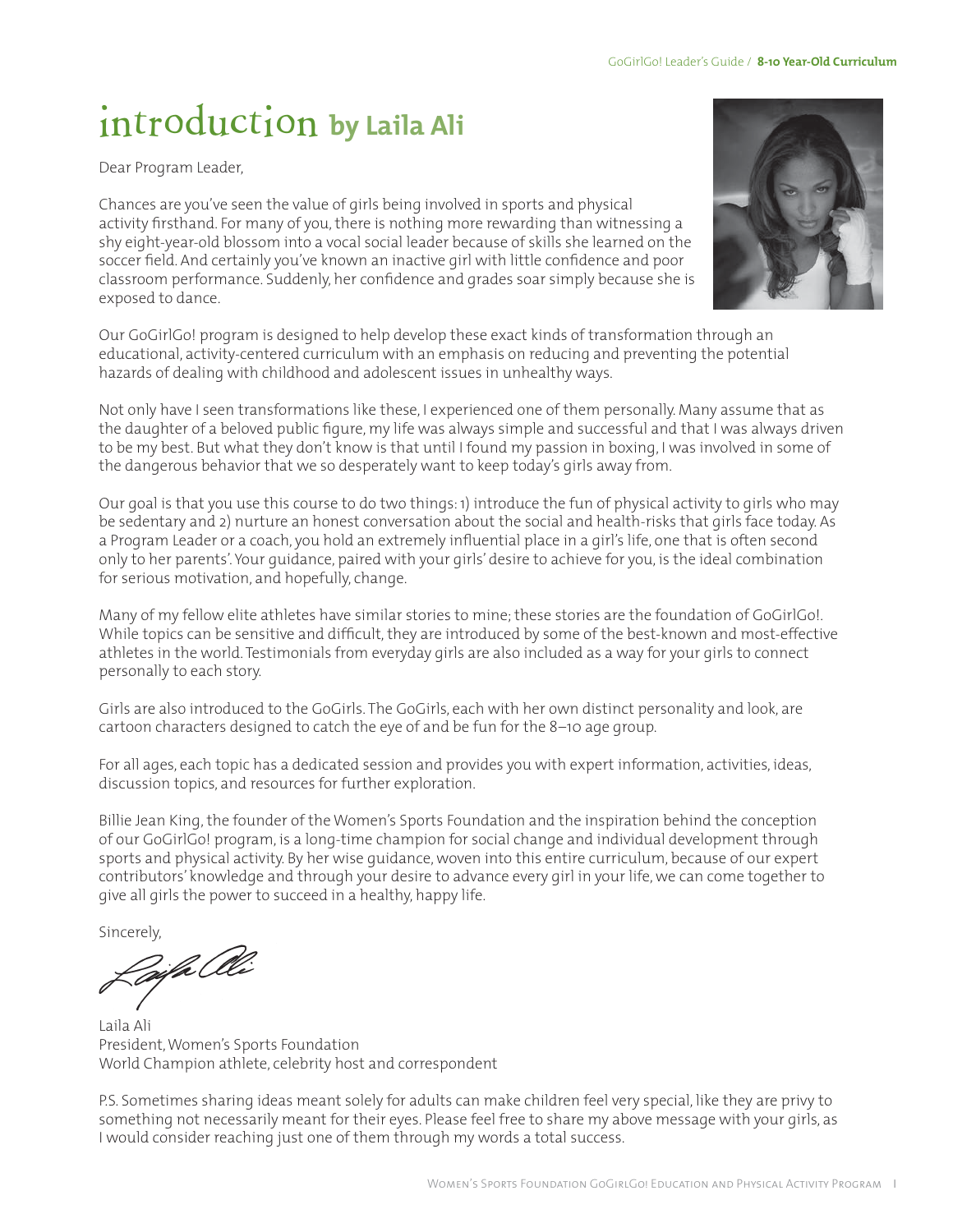## introduction **by Laila Ali**

Dear Program Leader,

Chances are you've seen the value of girls being involved in sports and physical activity firsthand. For many of you, there is nothing more rewarding than witnessing a shy eight-year-old blossom into a vocal social leader because of skills she learned on the soccer field. And certainly you've known an inactive girl with little confidence and poor classroom performance. Suddenly, her confidence and grades soar simply because she is exposed to dance.

Our GoGirlGo! program is designed to help develop these exact kinds of transformation through an educational, activity-centered curriculum with an emphasis on reducing and preventing the potential hazards of dealing with childhood and adolescent issues in unhealthy ways.

Not only have I seen transformations like these, I experienced one of them personally. Many assume that as the daughter of a beloved public figure, my life was always simple and successful and that I was always driven to be my best. But what they don't know is that until I found my passion in boxing, I was involved in some of the dangerous behavior that we so desperately want to keep today's girls away from.

Our goal is that you use this course to do two things: 1) introduce the fun of physical activity to girls who may be sedentary and 2) nurture an honest conversation about the social and health-risks that girls face today. As a Program Leader or a coach, you hold an extremely influential place in a girl's life, one that is often second only to her parents'. Your guidance, paired with your girls' desire to achieve for you, is the ideal combination for serious motivation, and hopefully, change.

Many of my fellow elite athletes have similar stories to mine; these stories are the foundation of GoGirlGo!. While topics can be sensitive and difficult, they are introduced by some of the best-known and most-effective athletes in the world. Testimonials from everyday girls are also included as a way for your girls to connect personally to each story.

Girls are also introduced to the GoGirls. The GoGirls, each with her own distinct personality and look, are cartoon characters designed to catch the eye of and be fun for the 8–10 age group.

For all ages, each topic has a dedicated session and provides you with expert information, activities, ideas, discussion topics, and resources for further exploration.

Billie Jean King, the founder of the Women's Sports Foundation and the inspiration behind the conception of our GoGirlGo! program, is a long-time champion for social change and individual development through sports and physical activity. By her wise guidance, woven into this entire curriculum, because of our expert contributors' knowledge and through your desire to advance every girl in your life, we can come together to give all girls the power to succeed in a healthy, happy life.

Sincerely,<br>*Loife* Clle

Laila Ali President, Women's Sports Foundation World Champion athlete, celebrity host and correspondent

P.S. Sometimes sharing ideas meant solely for adults can make children feel very special, like they are privy to something not necessarily meant for their eyes. Please feel free to share my above message with your girls, as I would consider reaching just one of them through my words a total success.

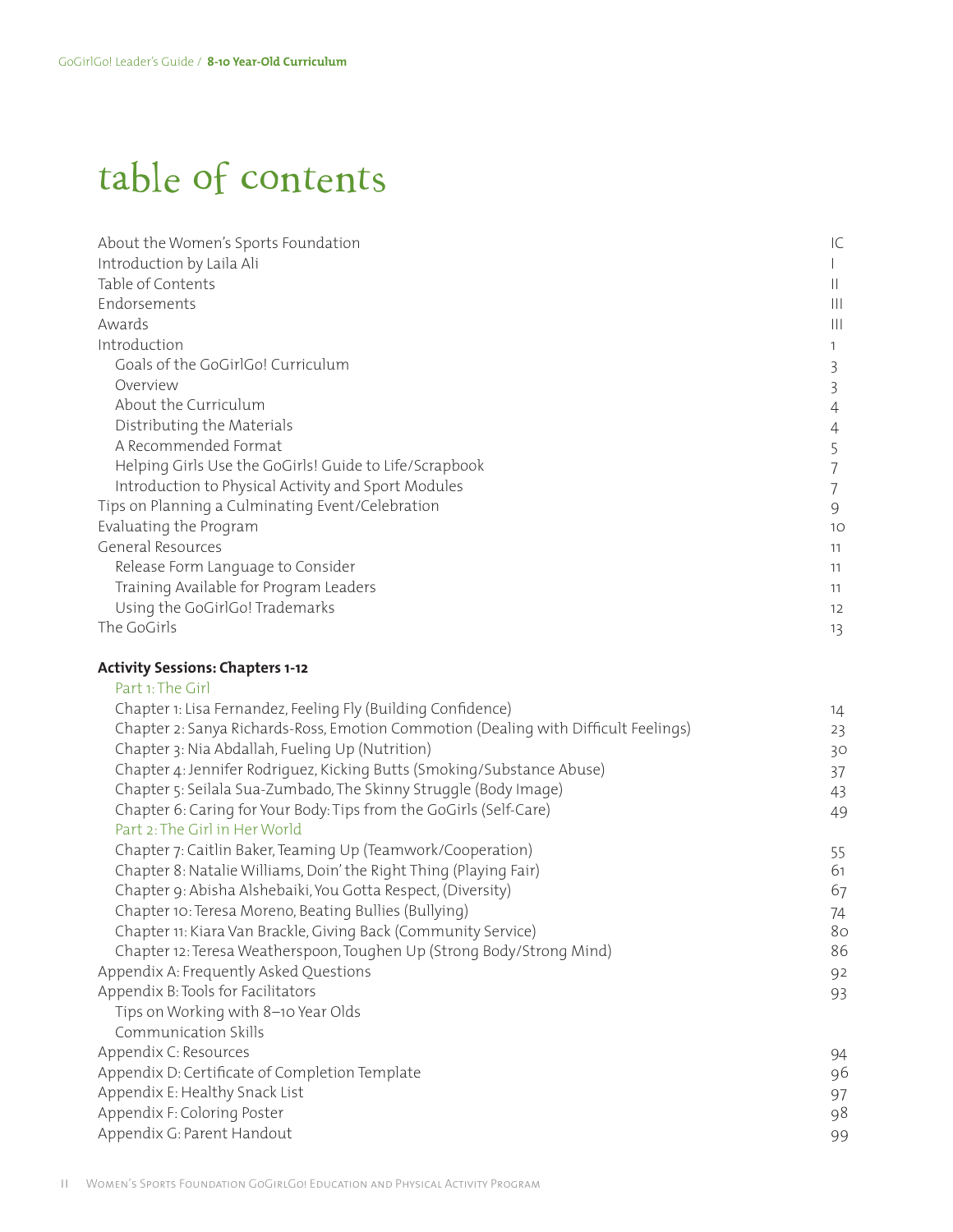### table of contents

| About the Women's Sports Foundation                    | ТC |
|--------------------------------------------------------|----|
| Introduction by Laila Ali                              |    |
| Table of Contents                                      | Ш  |
| Endorsements                                           | Ш  |
| Awards                                                 | Ш  |
| Introduction                                           |    |
| Goals of the GoGirlGo! Curriculum                      | 3  |
| Overview                                               |    |
| About the Curriculum                                   |    |
| Distributing the Materials                             |    |
| A Recommended Format                                   |    |
| Helping Girls Use the GoGirls! Guide to Life/Scrapbook |    |
| Introduction to Physical Activity and Sport Modules    |    |
| Tips on Planning a Culminating Event/Celebration       | 9  |
| Evaluating the Program                                 | 10 |
| General Resources                                      | 11 |
| Release Form Language to Consider                      | 11 |
| Training Available for Program Leaders                 | 11 |
| Using the GoGirlGo! Trademarks                         | 12 |
| The GoGirls                                            | 13 |
|                                                        |    |

#### **Activity Sessions: Chapters 1-12**

| Part 1: The Girl                                                                    |    |
|-------------------------------------------------------------------------------------|----|
| Chapter 1: Lisa Fernandez, Feeling Fly (Building Confidence)                        | 14 |
| Chapter 2: Sanya Richards-Ross, Emotion Commotion (Dealing with Difficult Feelings) | 23 |
| Chapter 3: Nia Abdallah, Fueling Up (Nutrition)                                     | 30 |
| Chapter 4: Jennifer Rodriquez, Kicking Butts (Smoking/Substance Abuse)              | 37 |
| Chapter 5: Seilala Sua-Zumbado, The Skinny Struggle (Body Image)                    | 43 |
| Chapter 6: Caring for Your Body: Tips from the GoGirls (Self-Care)                  | 49 |
| Part 2: The Girl in Her World                                                       |    |
| Chapter 7: Caitlin Baker, Teaming Up (Teamwork/Cooperation)                         | 55 |
| Chapter 8: Natalie Williams, Doin' the Right Thing (Playing Fair)                   | 61 |
| Chapter 9: Abisha Alshebaiki, You Gotta Respect, (Diversity)                        | 67 |
| Chapter 10: Teresa Moreno, Beating Bullies (Bullying)                               | 74 |
| Chapter 11: Kiara Van Brackle, Giving Back (Community Service)                      | 80 |
| Chapter 12: Teresa Weatherspoon, Toughen Up (Strong Body/Strong Mind)               | 86 |
| Appendix A: Frequently Asked Questions                                              | 92 |
| Appendix B: Tools for Facilitators                                                  | 93 |
| Tips on Working with 8-10 Year Olds                                                 |    |
| Communication Skills                                                                |    |
| Appendix C: Resources                                                               | 94 |
| Appendix D: Certificate of Completion Template                                      | 96 |
| Appendix E: Healthy Snack List                                                      | 97 |
| Appendix F: Coloring Poster                                                         | 98 |
| Appendix G: Parent Handout                                                          | 99 |
|                                                                                     |    |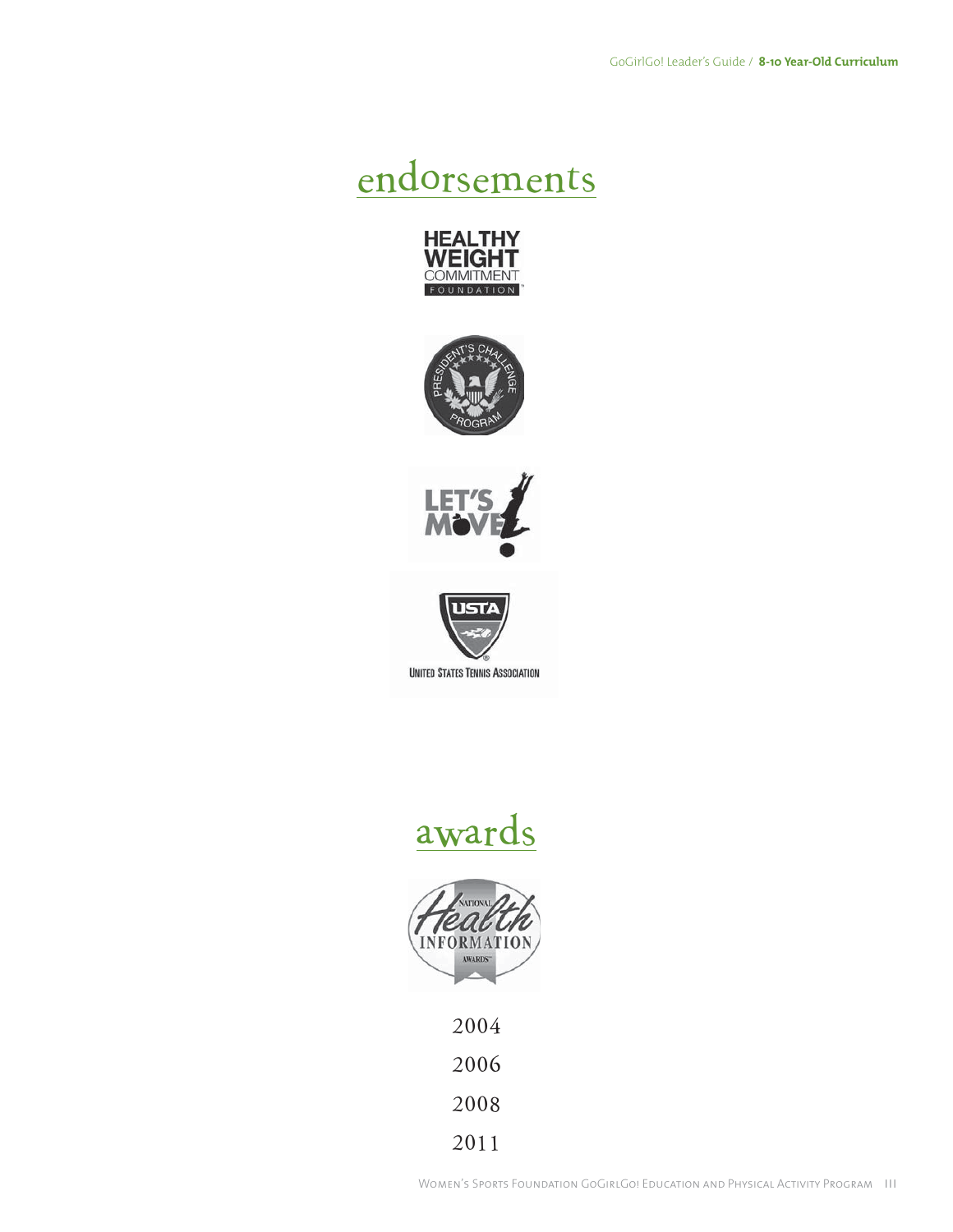### endorsements









### awards



2006 2008

2011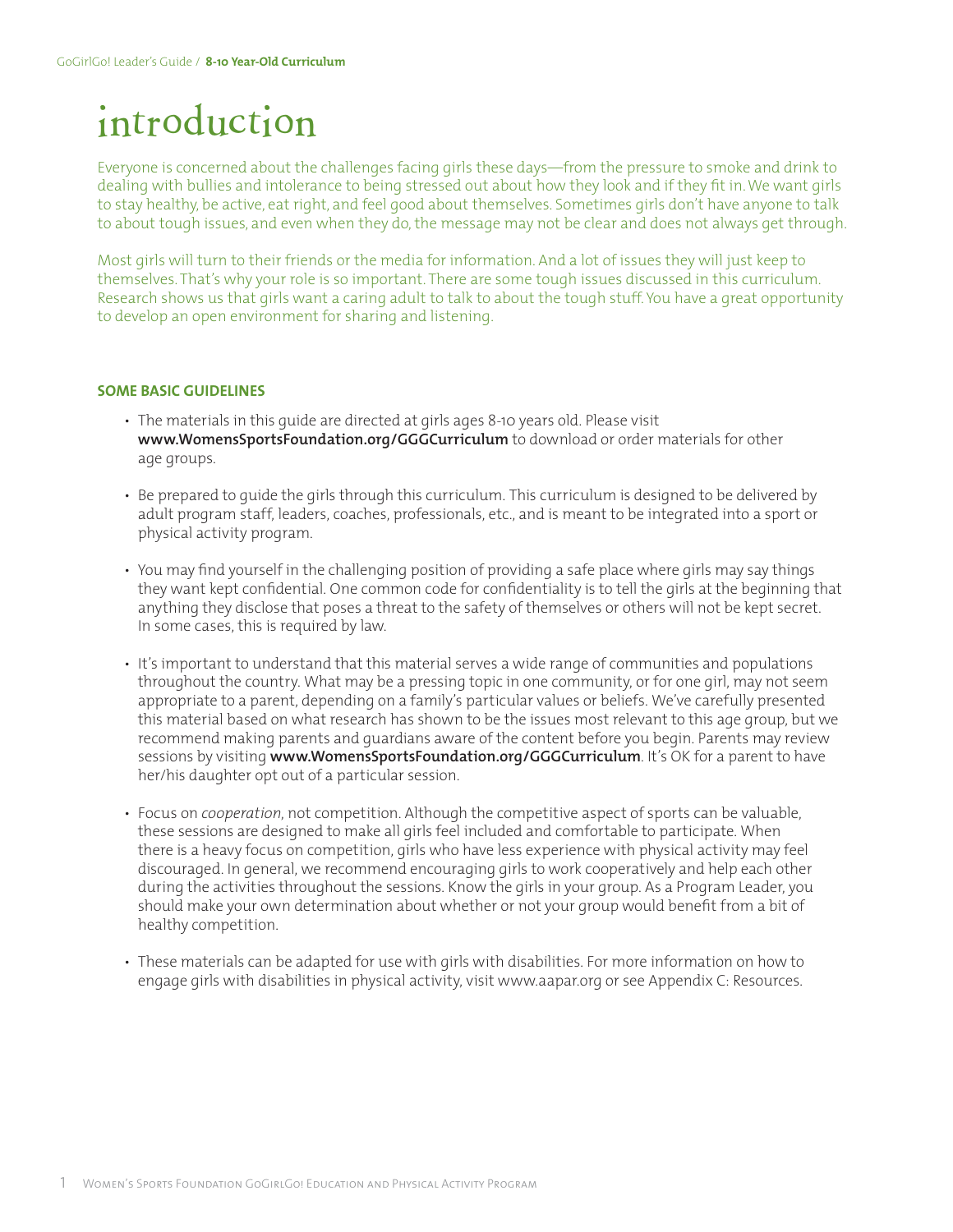## introduction

Everyone is concerned about the challenges facing girls these days—from the pressure to smoke and drink to dealing with bullies and intolerance to being stressed out about how they look and if they fit in. We want girls to stay healthy, be active, eat right, and feel good about themselves. Sometimes girls don't have anyone to talk to about tough issues, and even when they do, the message may not be clear and does not always get through.

Most girls will turn to their friends or the media for information. And a lot of issues they will just keep to themselves. That's why your role is so important. There are some tough issues discussed in this curriculum. Research shows us that girls want a caring adult to talk to about the tough stuff. You have a great opportunity to develop an open environment for sharing and listening.

#### **SOME BASIC GUIDELINES**

- The materials in this guide are directed at girls ages 8-10 years old. Please visit **www.WomensSportsFoundation.org/GGGCurriculum** to download or order materials for other age groups.
- Be prepared to guide the girls through this curriculum. This curriculum is designed to be delivered by adult program staff, leaders, coaches, professionals, etc., and is meant to be integrated into a sport or physical activity program.
- You may find yourself in the challenging position of providing a safe place where girls may say things they want kept confidential. One common code for confidentiality is to tell the girls at the beginning that anything they disclose that poses a threat to the safety of themselves or others will not be kept secret. In some cases, this is required by law.
- It's important to understand that this material serves a wide range of communities and populations throughout the country. What may be a pressing topic in one community, or for one girl, may not seem appropriate to a parent, depending on a family's particular values or beliefs. We've carefully presented this material based on what research has shown to be the issues most relevant to this age group, but we recommend making parents and guardians aware of the content before you begin. Parents may review sessions by visiting **www.WomensSportsFoundation.org/GGGCurriculum**. It's OK for a parent to have her/his daughter opt out of a particular session.
- Focus on *cooperation*, not competition. Although the competitive aspect of sports can be valuable, these sessions are designed to make all girls feel included and comfortable to participate. When there is a heavy focus on competition, girls who have less experience with physical activity may feel discouraged. In general, we recommend encouraging girls to work cooperatively and help each other during the activities throughout the sessions. Know the girls in your group. As a Program Leader, you should make your own determination about whether or not your group would benefit from a bit of healthy competition.
- These materials can be adapted for use with girls with disabilities. For more information on how to engage girls with disabilities in physical activity, visit www.aapar.org or see Appendix C: Resources.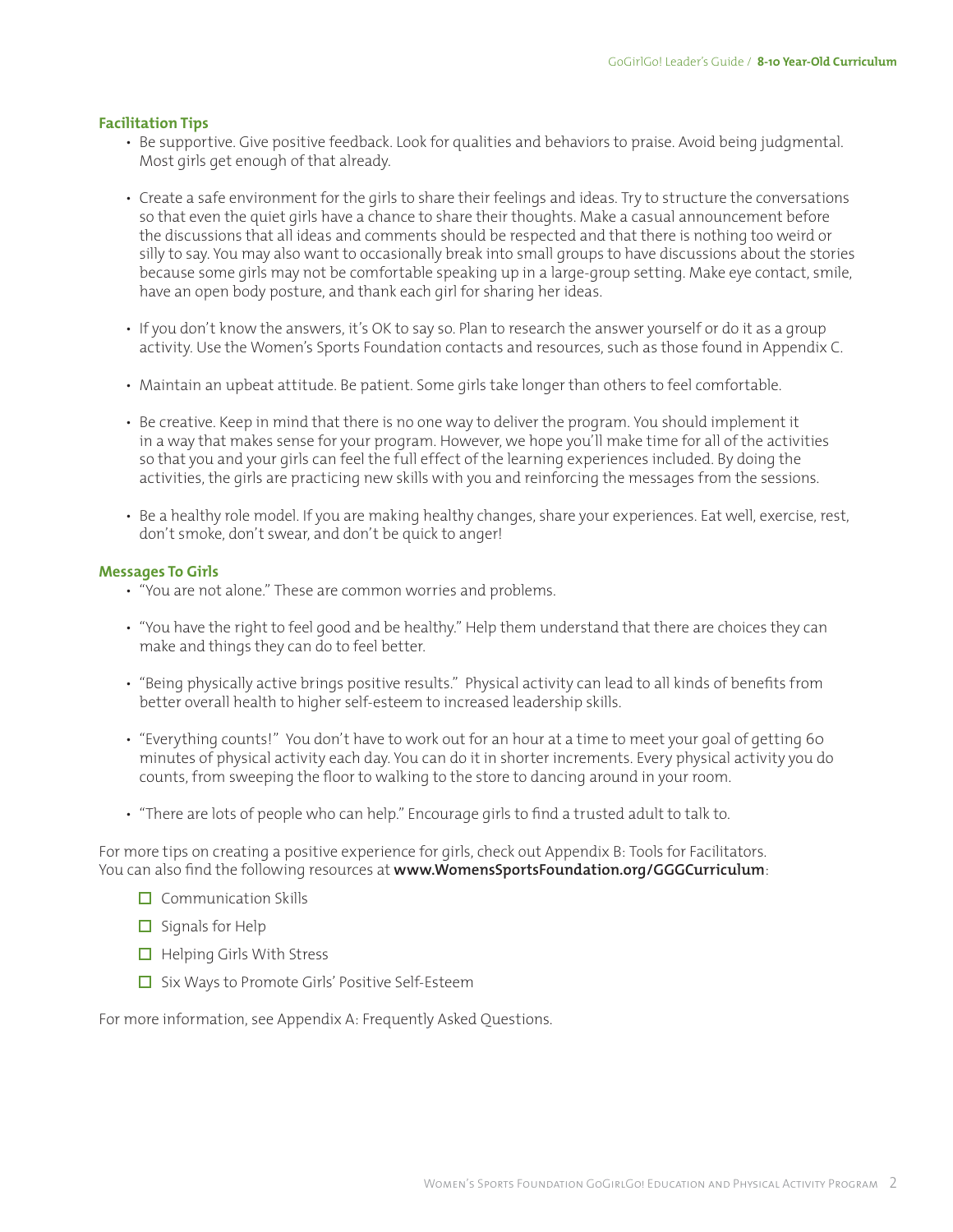#### **Facilitation Tips**

- Be supportive. Give positive feedback. Look for qualities and behaviors to praise. Avoid being judgmental. Most girls get enough of that already.
- Create a safe environment for the girls to share their feelings and ideas. Try to structure the conversations so that even the quiet girls have a chance to share their thoughts. Make a casual announcement before the discussions that all ideas and comments should be respected and that there is nothing too weird or silly to say. You may also want to occasionally break into small groups to have discussions about the stories because some girls may not be comfortable speaking up in a large-group setting. Make eye contact, smile, have an open body posture, and thank each girl for sharing her ideas.
- If you don't know the answers, it's OK to say so. Plan to research the answer yourself or do it as a group activity. Use the Women's Sports Foundation contacts and resources, such as those found in Appendix C.
- Maintain an upbeat attitude. Be patient. Some girls take longer than others to feel comfortable.
- Be creative. Keep in mind that there is no one way to deliver the program. You should implement it in a way that makes sense for your program. However, we hope you'll make time for all of the activities so that you and your girls can feel the full effect of the learning experiences included. By doing the activities, the girls are practicing new skills with you and reinforcing the messages from the sessions.
- Be a healthy role model. If you are making healthy changes, share your experiences. Eat well, exercise, rest, don't smoke, don't swear, and don't be quick to anger!

#### **Messages To Girls**

- "You are not alone." These are common worries and problems.
- "You have the right to feel good and be healthy." Help them understand that there are choices they can make and things they can do to feel better.
- "Being physically active brings positive results." Physical activity can lead to all kinds of benefits from better overall health to higher self-esteem to increased leadership skills.
- "Everything counts!" You don't have to work out for an hour at a time to meet your goal of getting 60 minutes of physical activity each day. You can do it in shorter increments. Every physical activity you do counts, from sweeping the floor to walking to the store to dancing around in your room.
- "There are lots of people who can help." Encourage girls to find a trusted adult to talk to.

For more tips on creating a positive experience for girls, check out Appendix B: Tools for Facilitators. You can also find the following resources at **www.WomensSportsFoundation.org/GGGCurriculum**:

- $\Box$  Communication Skills
- $\Box$  Signals for Help
- $\Box$  Helping Girls With Stress
- $\Box$  Six Ways to Promote Girls' Positive Self-Esteem

For more information, see Appendix A: Frequently Asked Questions.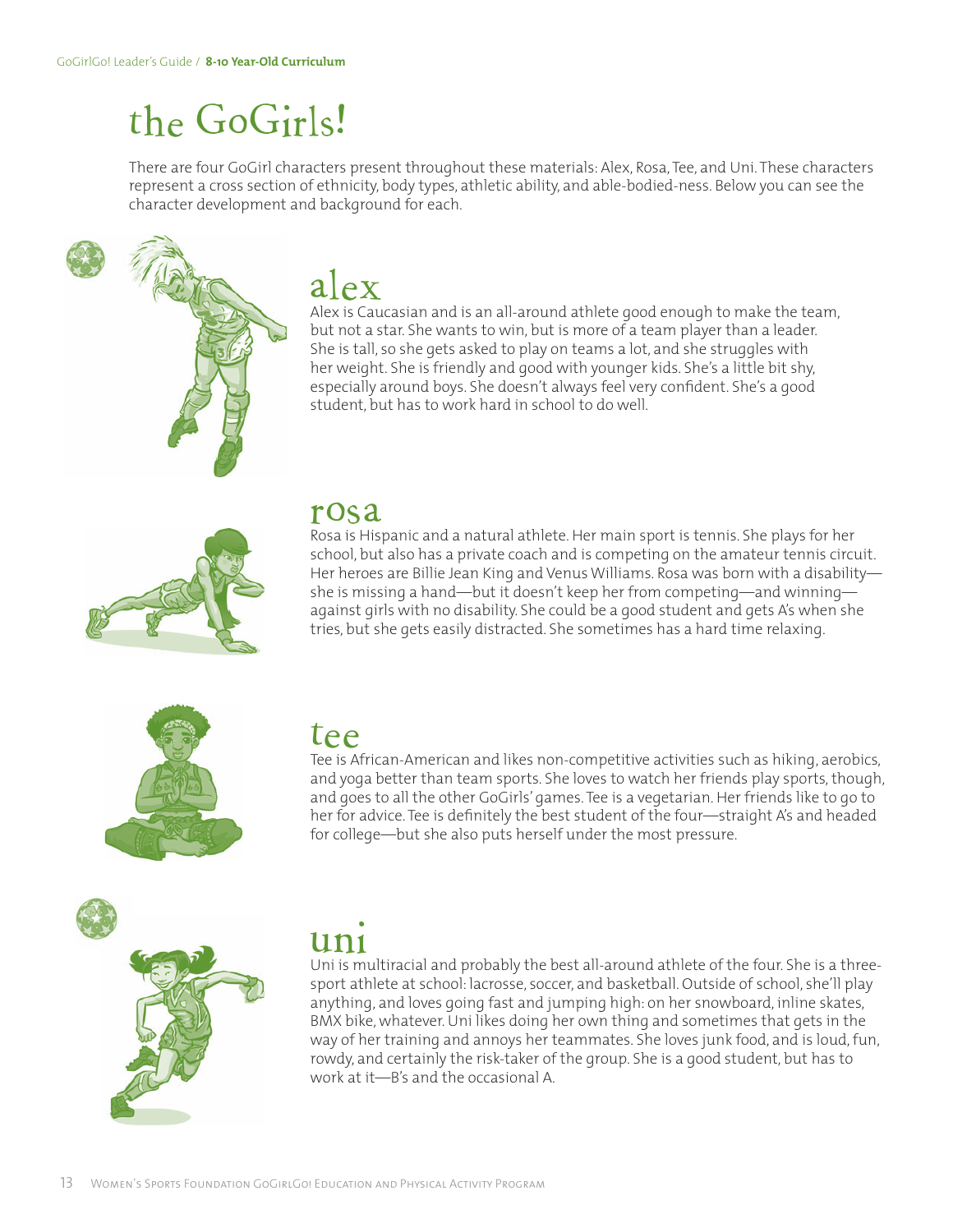## the GoGirls!

There are four GoGirl characters present throughout these materials: Alex, Rosa, Tee, and Uni. These characters represent a cross section of ethnicity, body types, athletic ability, and able-bodied-ness. Below you can see the character development and background for each.



 $\operatorname{alex}_{\alpha}$ lex but not a star. She wants to win, but is more of a team player than a leader. She is tall, so she gets asked to play on teams a lot, and she struggles with her weight. She is friendly and good with younger kids. She's a little bit shy, especially around boys. She doesn't always feel very confident. She's a good student, but has to work hard in school to do well.



#### rosa

Rosa is Hispanic and a natural athlete. Her main sport is tennis. She plays for her school, but also has a private coach and is competing on the amateur tennis circuit. Her heroes are Billie Jean King and Venus Williams. Rosa was born with a disability she is missing a hand—but it doesn't keep her from competing—and winning against girls with no disability. She could be a good student and gets A's when she tries, but she gets easily distracted. She sometimes has a hard time relaxing.



### tee

Tee is African-American and likes non-competitive activities such as hiking, aerobics, and yoga better than team sports. She loves to watch her friends play sports, though, and goes to all the other GoGirls' games. Tee is a vegetarian. Her friends like to go to her for advice. Tee is definitely the best student of the four—straight A's and headed for college—but she also puts herself under the most pressure.



### uni

Uni is multiracial and probably the best all-around athlete of the four. She is a threesport athlete at school: lacrosse, soccer, and basketball. Outside of school, she'll play anything, and loves going fast and jumping high: on her snowboard, inline skates, BMX bike, whatever. Uni likes doing her own thing and sometimes that gets in the way of her training and annoys her teammates. She loves junk food, and is loud, fun, rowdy, and certainly the risk-taker of the group. She is a good student, but has to work at it—B's and the occasional A.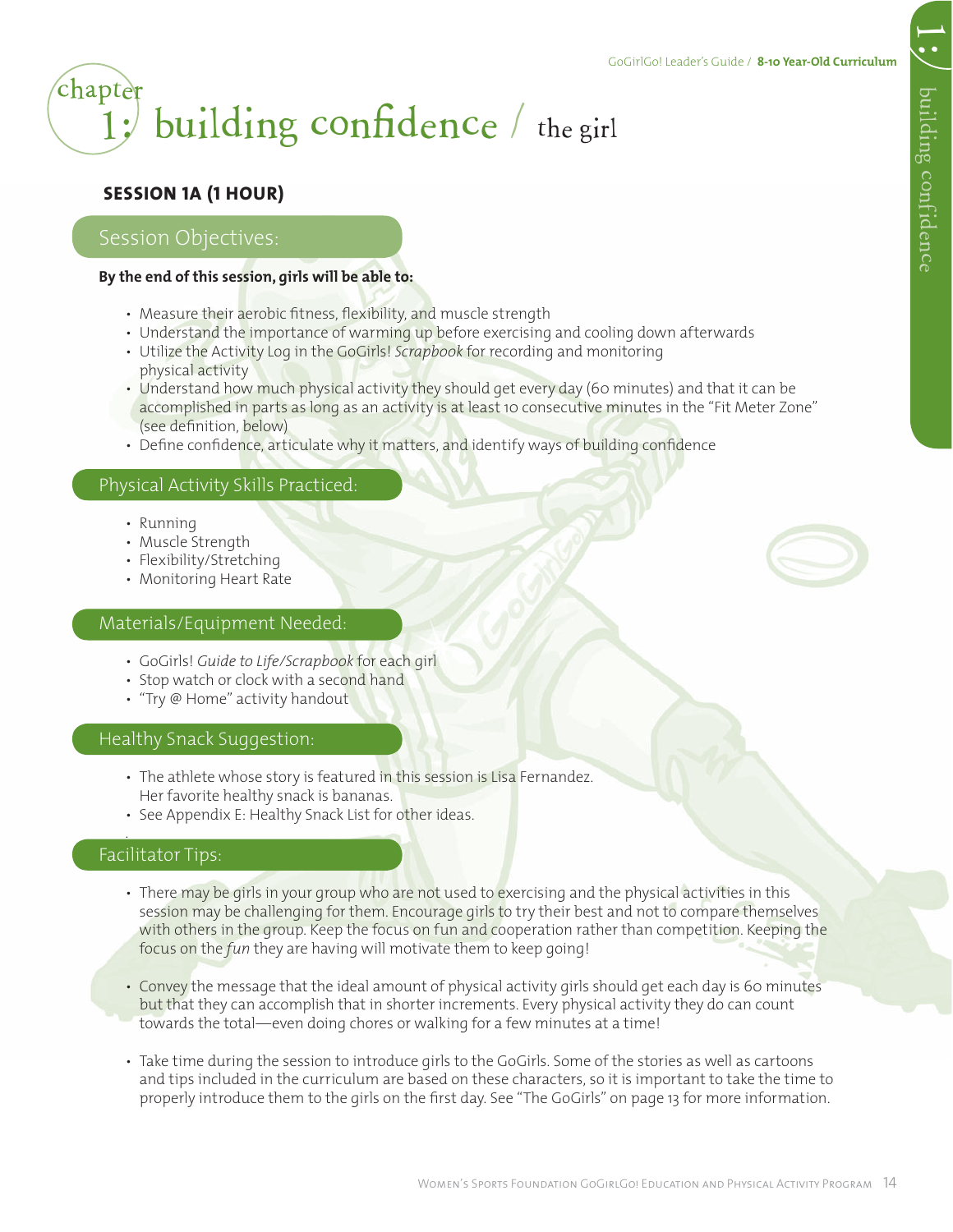|<br>|-<br>|

### 1; building confidence  $/$  the girl **chapter**

#### **SESSION 1A (1 HOUR)**

#### Session Objectives:

#### **By the end of this session, girls will be able to:**

- Measure their aerobic fitness, flexibility, and muscle strength
- Understand the importance of warming up before exercising and cooling down afterwards
- Utilize the Activity Log in the GoGirls! *Scrapbook* for recording and monitoring physical activity
- Understand how much physical activity they should get every day (60 minutes) and that it can be accomplished in parts as long as an activity is at least 10 consecutive minutes in the "Fit Meter Zone" (see definition, below)
- Define confidence, articulate why it matters, and identify ways of building confidence

#### Physical Activity Skills Practiced:

- Running
- Muscle Strength
- Flexibility/Stretching
- Monitoring Heart Rate

#### Materials/Equipment Needed:

- GoGirls! *Guide to Life/Scrapbook* for each girl
- Stop watch or clock with a second hand
- "Try @ Home" activity handout

#### Healthy Snack Suggestion:

- The athlete whose story is featured in this session is Lisa Fernandez. Her favorite healthy snack is bananas.
- See Appendix E: Healthy Snack List for other ideas.

#### Facilitator Tips:

.

- There may be girls in your group who are not used to exercising and the physical activities in this session may be challenging for them. Encourage girls to try their best and not to compare themselves with others in the group. Keep the focus on fun and cooperation rather than competition. Keeping the focus on the *fun* they are having will motivate them to keep going!
- Convey the message that the ideal amount of physical activity girls should get each day is 60 minutes but that they can accomplish that in shorter increments. Every physical activity they do can count towards the total—even doing chores or walking for a few minutes at a time!
- Take time during the session to introduce girls to the GoGirls. Some of the stories as well as cartoons and tips included in the curriculum are based on these characters, so it is important to take the time to properly introduce them to the girls on the first day. See "The GoGirls" on page 13 for more information.

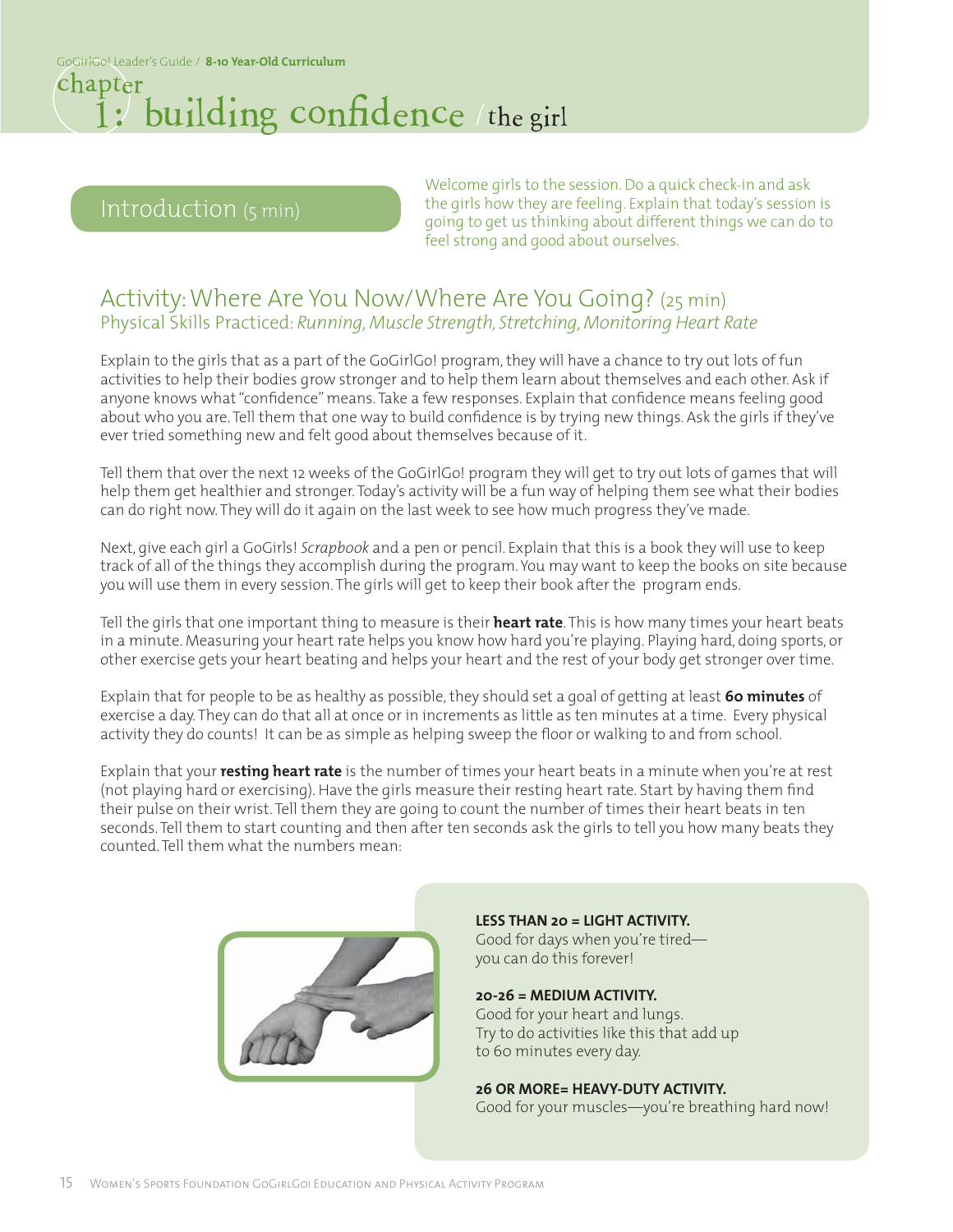#### 1: building confidence / the girl chapter

#### Introduction (5 min)

Welcome girls to the session. Do a quick check-in and ask the girls how they are feeling. Explain that today's session is going to get us thinking about different things we can do to feel strong and good about ourselves.

#### Activity: Where Are You Now/Where Are You Going? (25 min) Physical Skills Practiced: *Running, Muscle Strength, Stretching, Monitoring Heart Rate*

Explain to the girls that as a part of the GoGirlGo! program, they will have a chance to try out lots of fun activities to help their bodies grow stronger and to help them learn about themselves and each other. Ask if anyone knows what "confidence" means. Take a few responses. Explain that confidence means feeling good about who you are. Tell them that one way to build confidence is by trying new things. Ask the girls if they've ever tried something new and felt good about themselves because of it.

Tell them that over the next 12 weeks of the GoGirlGo! program they will get to try out lots of games that will help them get healthier and stronger. Today's activity will be a fun way of helping them see what their bodies can do right now. They will do it again on the last week to see how much progress they've made.

Next, give each girl a GoGirls! *Scrapbook* and a pen or pencil. Explain that this is a book they will use to keep track of all of the things they accomplish during the program. You may want to keep the books on site because you will use them in every session. The girls will get to keep their book after the program ends.

Tell the girls that one important thing to measure is their **heart rate**. This is how many times your heart beats in a minute. Measuring your heart rate helps you know how hard you're playing. Playing hard, doing sports, or other exercise gets your heart beating and helps your heart and the rest of your body get stronger over time.

Explain that for people to be as healthy as possible, they should set a goal of getting at least **60 minutes** of exercise a day. They can do that all at once or in increments as little as ten minutes at a time. Every physical activity they do counts! It can be as simple as helping sweep the floor or walking to and from school.

Explain that your **resting heart rate** is the number of times your heart beats in a minute when you're at rest (not playing hard or exercising). Have the girls measure their resting heart rate. Start by having them find their pulse on their wrist. Tell them they are going to count the number of times their heart beats in ten seconds. Tell them to start counting and then after ten seconds ask the girls to tell you how many beats they counted. Tell them what the numbers mean:



**LESS THAN 20 = LIGHT ACTIVITY.** Good for days when you're tired you can do this forever!

**20-26 = MEDIUM ACTIVITY.** Good for your heart and lungs. Try to do activities like this that add up to 60 minutes every day.

**26 OR MORE= HEAVY-DUTY ACTIVITY.** Good for your muscles—you're breathing hard now!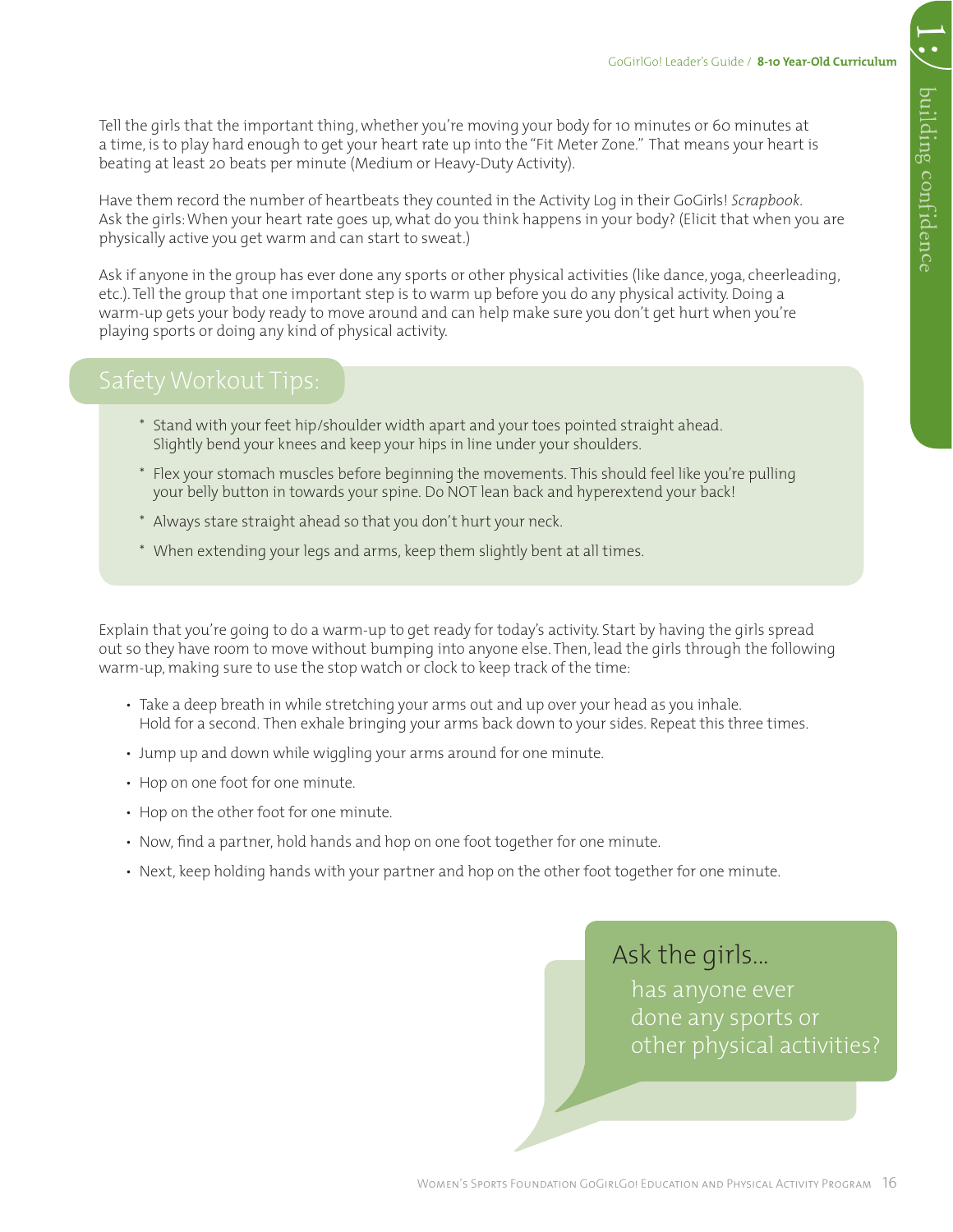1:

Tell the girls that the important thing, whether you're moving your body for 10 minutes or 60 minutes at a time, is to play hard enough to get your heart rate up into the "Fit Meter Zone." That means your heart is beating at least 20 beats per minute (Medium or Heavy-Duty Activity).

Have them record the number of heartbeats they counted in the Activity Log in their GoGirls! *Scrapbook*. Ask the girls: When your heart rate goes up, what do you think happens in your body? (Elicit that when you are physically active you get warm and can start to sweat.)

Ask if anyone in the group has ever done any sports or other physical activities (like dance, yoga, cheerleading, etc.). Tell the group that one important step is to warm up before you do any physical activity. Doing a warm-up gets your body ready to move around and can help make sure you don't get hurt when you're playing sports or doing any kind of physical activity.

- \* Stand with your feet hip/shoulder width apart and your toes pointed straight ahead. Slightly bend your knees and keep your hips in line under your shoulders.
- \* Flex your stomach muscles before beginning the movements. This should feel like you're pulling your belly button in towards your spine. Do NOT lean back and hyperextend your back!
- \* Always stare straight ahead so that you don't hurt your neck.
- \* When extending your legs and arms, keep them slightly bent at all times.

Explain that you're going to do a warm-up to get ready for today's activity. Start by having the girls spread out so they have room to move without bumping into anyone else. Then, lead the girls through the following warm-up, making sure to use the stop watch or clock to keep track of the time:

- Take a deep breath in while stretching your arms out and up over your head as you inhale. Hold for a second. Then exhale bringing your arms back down to your sides. Repeat this three times.
- Jump up and down while wiggling your arms around for one minute.
- Hop on one foot for one minute.
- Hop on the other foot for one minute.
- Now, find a partner, hold hands and hop on one foot together for one minute.
- Next, keep holding hands with your partner and hop on the other foot together for one minute.

#### Ask the girls...

has anyone ever done any sports or other physical activities?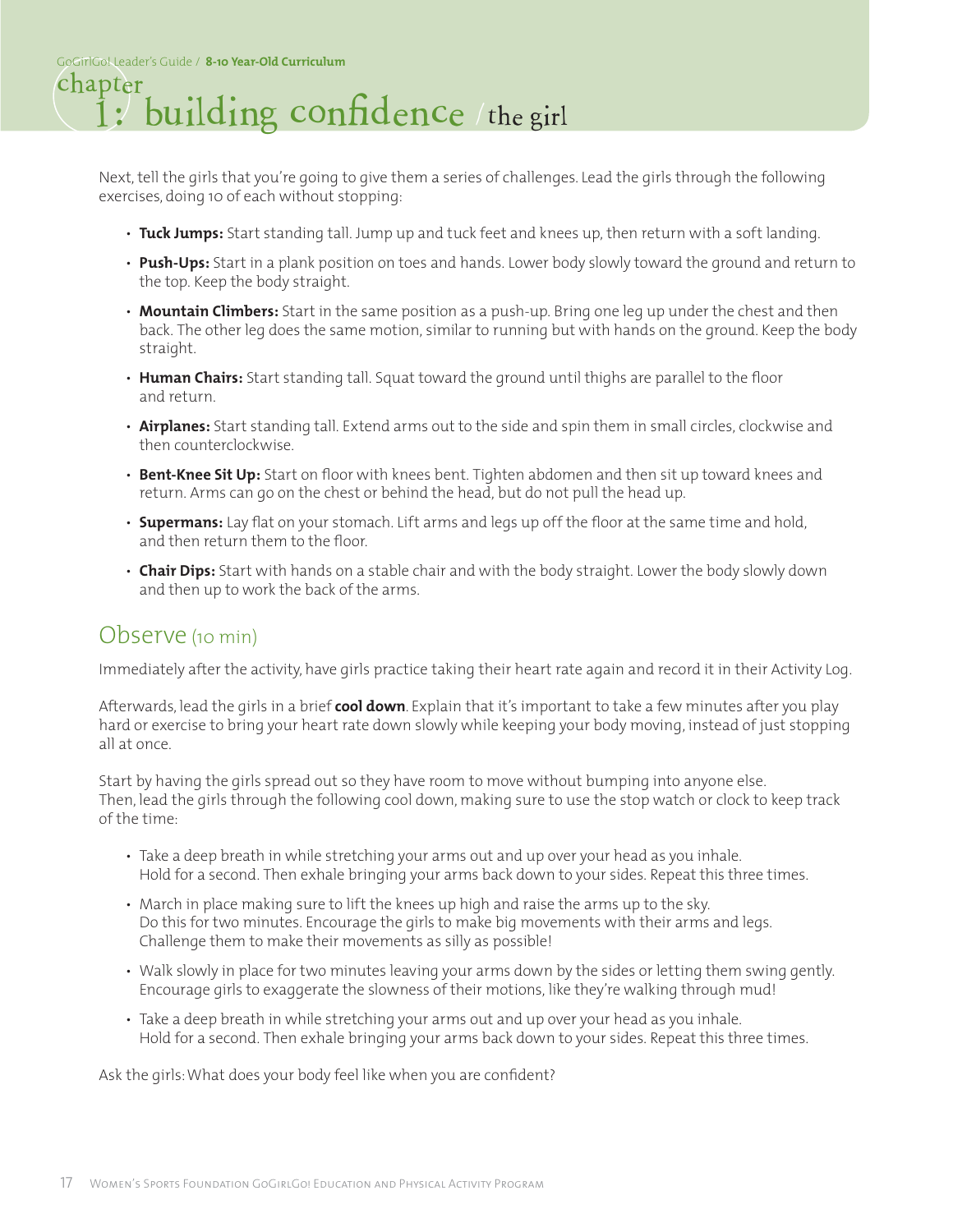#### 1: building confidence the girl chapter

Next, tell the girls that you're going to give them a series of challenges. Lead the girls through the following exercises, doing 10 of each without stopping:

- **Tuck Jumps:** Start standing tall. Jump up and tuck feet and knees up, then return with a soft landing.
- **Push-Ups:** Start in a plank position on toes and hands. Lower body slowly toward the ground and return to the top. Keep the body straight.
- **Mountain Climbers:** Start in the same position as a push-up. Bring one leg up under the chest and then back. The other leg does the same motion, similar to running but with hands on the ground. Keep the body straight.
- **Human Chairs:** Start standing tall. Squat toward the ground until thighs are parallel to the floor and return.
- **Airplanes:** Start standing tall. Extend arms out to the side and spin them in small circles, clockwise and then counterclockwise.
- **Bent-Knee Sit Up:** Start on floor with knees bent. Tighten abdomen and then sit up toward knees and return. Arms can go on the chest or behind the head, but do not pull the head up.
- **Supermans:** Lay flat on your stomach. Lift arms and legs up off the floor at the same time and hold, and then return them to the floor.
- **Chair Dips:** Start with hands on a stable chair and with the body straight. Lower the body slowly down and then up to work the back of the arms.

#### Observe (10 min)

Immediately after the activity, have girls practice taking their heart rate again and record it in their Activity Log.

Afterwards, lead the girls in a brief **cool down**. Explain that it's important to take a few minutes after you play hard or exercise to bring your heart rate down slowly while keeping your body moving, instead of just stopping all at once.

Start by having the girls spread out so they have room to move without bumping into anyone else. Then, lead the girls through the following cool down, making sure to use the stop watch or clock to keep track of the time:

- Take a deep breath in while stretching your arms out and up over your head as you inhale. Hold for a second. Then exhale bringing your arms back down to your sides. Repeat this three times.
- March in place making sure to lift the knees up high and raise the arms up to the sky. Do this for two minutes. Encourage the girls to make big movements with their arms and legs. Challenge them to make their movements as silly as possible!
- Walk slowly in place for two minutes leaving your arms down by the sides or letting them swing gently. Encourage girls to exaggerate the slowness of their motions, like they're walking through mud!
- Take a deep breath in while stretching your arms out and up over your head as you inhale. Hold for a second. Then exhale bringing your arms back down to your sides. Repeat this three times.

Ask the girls: What does your body feel like when you are confident?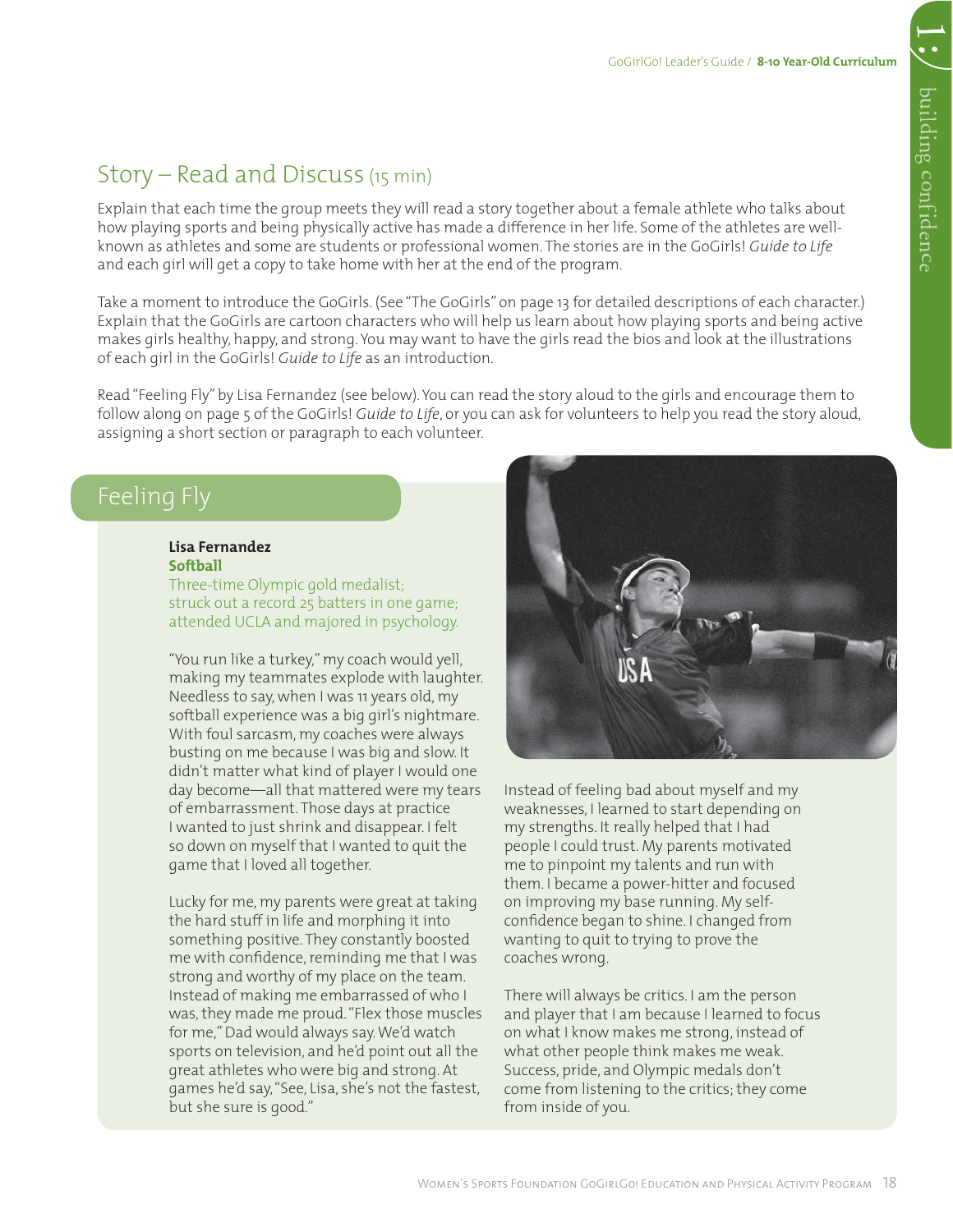1:

Explain that each time the group meets they will read a story together about a female athlete who talks about how playing sports and being physically active has made a difference in her life. Some of the athletes are wellknown as athletes and some are students or professional women. The stories are in the GoGirls! *Guide to Life*  and each girl will get a copy to take home with her at the end of the program.

Take a moment to introduce the GoGirls. (See "The GoGirls" on page 13 for detailed descriptions of each character.) Explain that the GoGirls are cartoon characters who will help us learn about how playing sports and being active makes girls healthy, happy, and strong. You may want to have the girls read the bios and look at the illustrations of each girl in the GoGirls! *Guide to Life* as an introduction.

Read "Feeling Fly" by Lisa Fernandez (see below). You can read the story aloud to the girls and encourage them to follow along on page 5 of the GoGirls! *Guide to Life*, or you can ask for volunteers to help you read the story aloud, assigning a short section or paragraph to each volunteer.

#### Feeling Fly

#### **Lisa Fernandez Softball**

Three-time Olympic gold medalist; struck out a record 25 batters in one game; attended UCLA and majored in psychology.

"You run like a turkey," my coach would yell, making my teammates explode with laughter. Needless to say, when I was 11 years old, my softball experience was a big girl's nightmare. With foul sarcasm, my coaches were always busting on me because I was big and slow. It didn't matter what kind of player I would one day become—all that mattered were my tears of embarrassment. Those days at practice I wanted to just shrink and disappear. I felt so down on myself that I wanted to quit the game that I loved all together.

Lucky for me, my parents were great at taking the hard stuff in life and morphing it into something positive. They constantly boosted me with confidence, reminding me that I was strong and worthy of my place on the team. Instead of making me embarrassed of who I was, they made me proud. "Flex those muscles for me," Dad would always say. We'd watch sports on television, and he'd point out all the great athletes who were big and strong. At games he'd say, "See, Lisa, she's not the fastest, but she sure is good."



Instead of feeling bad about myself and my weaknesses, I learned to start depending on my strengths. It really helped that I had people I could trust. My parents motivated me to pinpoint my talents and run with them. I became a power-hitter and focused on improving my base running. My selfconfidence began to shine. I changed from wanting to quit to trying to prove the coaches wrong.

There will always be critics. I am the person and player that I am because I learned to focus on what I know makes me strong, instead of what other people think makes me weak. Success, pride, and Olympic medals don't come from listening to the critics; they come from inside of you.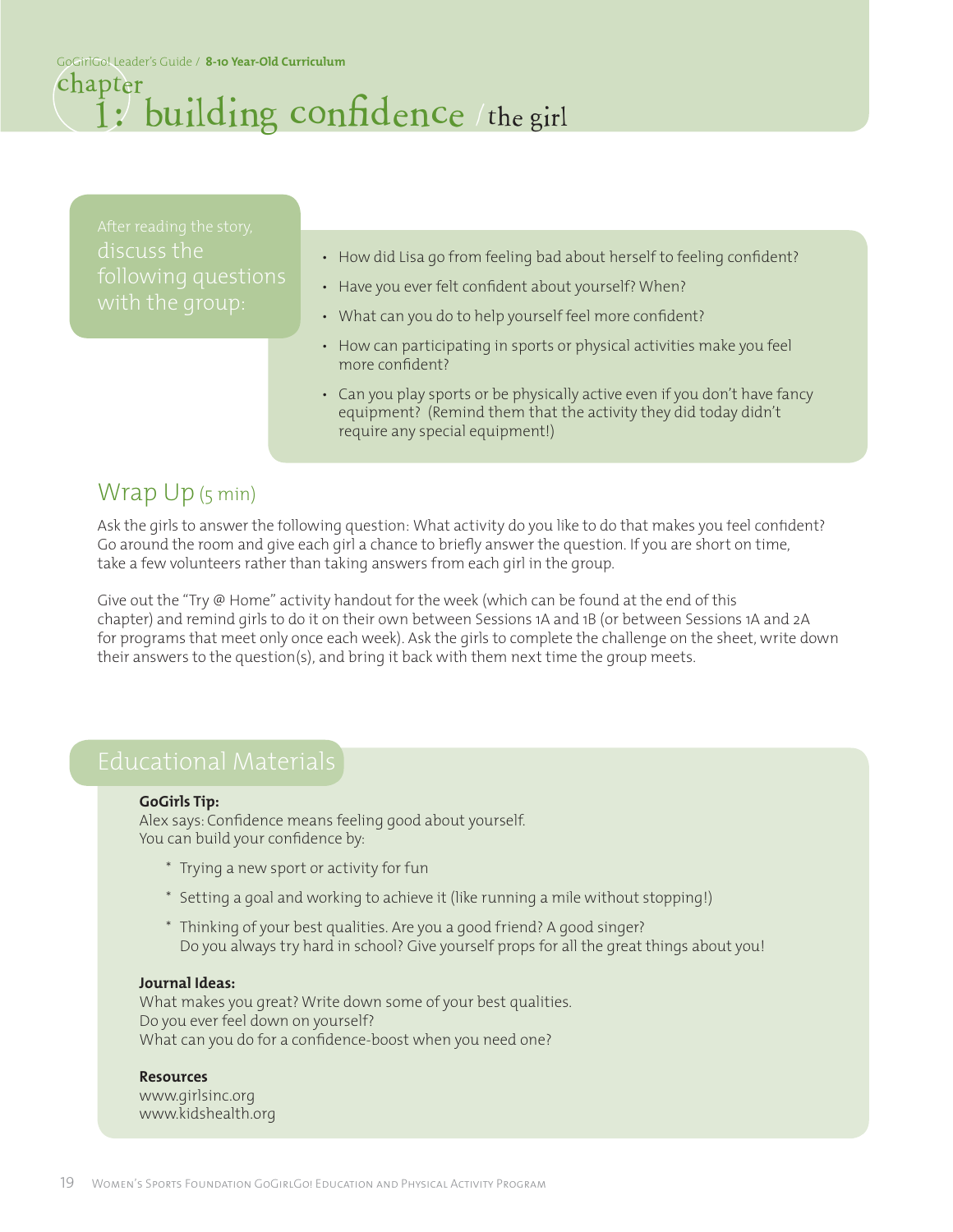GoGirlGo! Leader's Guide / **8-10 Year-Old Curriculum**

#### 1: building confidence / the girl chapter

discuss the

- How did Lisa go from feeling bad about herself to feeling confident?
- Have you ever felt confident about yourself? When?
- What can you do to help yourself feel more confident?
- How can participating in sports or physical activities make you feel more confident?
- Can you play sports or be physically active even if you don't have fancy equipment? (Remind them that the activity they did today didn't require any special equipment!)

### Wrap Up (5 min)

Ask the girls to answer the following question: What activity do you like to do that makes you feel confident? Go around the room and give each girl a chance to briefly answer the question. If you are short on time, take a few volunteers rather than taking answers from each girl in the group.

Give out the "Try @ Home" activity handout for the week (which can be found at the end of this chapter) and remind girls to do it on their own between Sessions 1A and 1B (or between Sessions 1A and 2A for programs that meet only once each week). Ask the girls to complete the challenge on the sheet, write down their answers to the question(s), and bring it back with them next time the group meets.

#### **GoGirls Tip:**

Alex says: Confidence means feeling good about yourself. You can build your confidence by:

- \* Trying a new sport or activity for fun
- \* Setting a goal and working to achieve it (like running a mile without stopping!)
- \* Thinking of your best qualities. Are you a good friend? A good singer? Do you always try hard in school? Give yourself props for all the great things about you!

#### **Journal Ideas:**

What makes you great? Write down some of your best qualities. Do you ever feel down on yourself? What can you do for a confidence-boost when you need one?

#### **Resources**

www.girlsinc.org www.kidshealth.org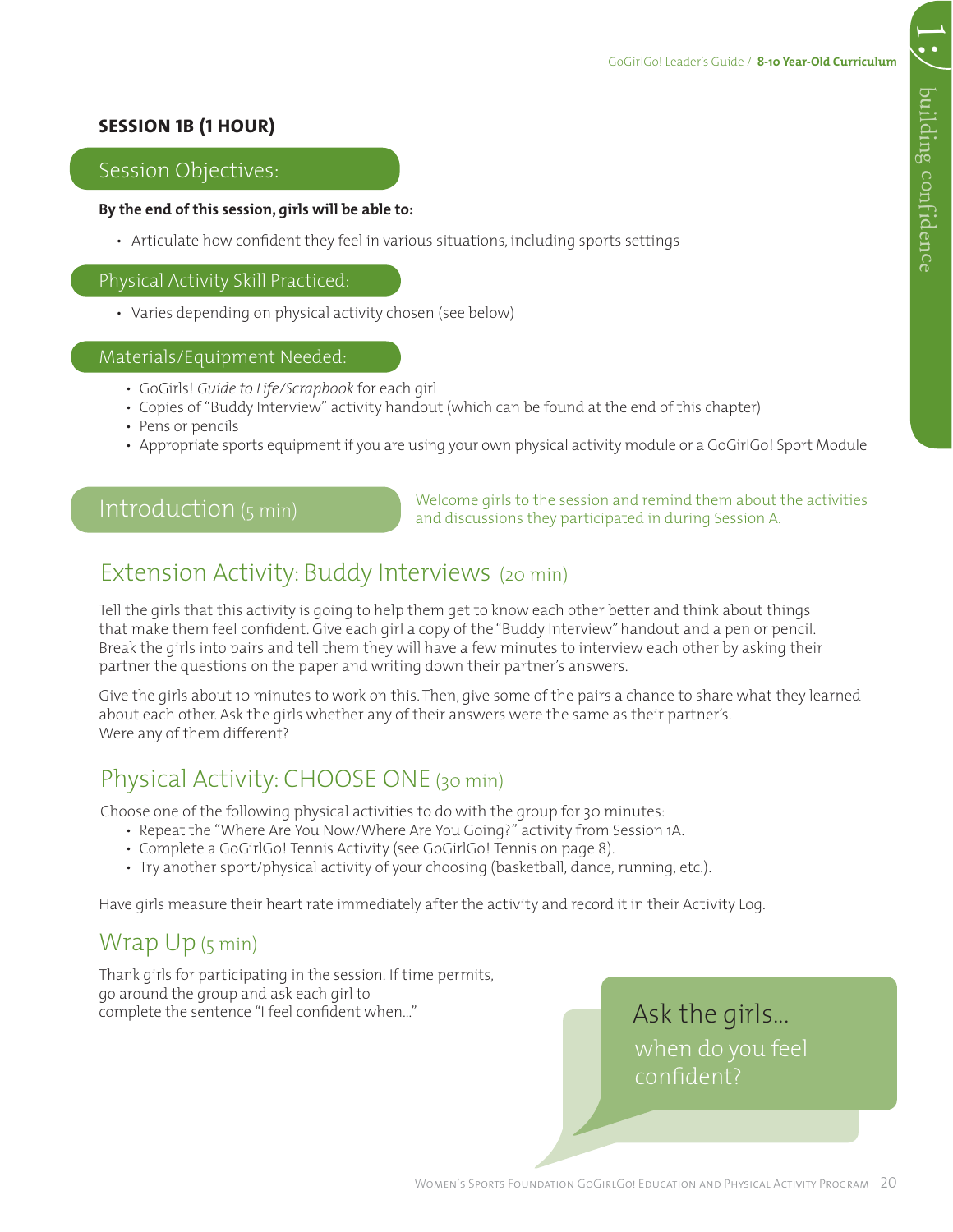#### **SESSION 1B (1 HOUR)**

#### Session Objectives:

#### **By the end of this session, girls will be able to:**

• Articulate how confident they feel in various situations, including sports settings

#### Physical Activity Skill Practiced:

• Varies depending on physical activity chosen (see below)

#### Materials/Equipment Needed:

- GoGirls! *Guide to Life/Scrapbook* for each girl
- Copies of "Buddy Interview" activity handout (which can be found at the end of this chapter)
- Pens or pencils
- Appropriate sports equipment if you are using your own physical activity module or a GoGirlGo! Sport Module

#### Introduction (5 min)

Welcome girls to the session and remind them about the activities and discussions they participated in during Session A.

#### Extension Activity: Buddy Interviews (20 min)

Tell the girls that this activity is going to help them get to know each other better and think about things that make them feel confident. Give each girl a copy of the "Buddy Interview" handout and a pen or pencil. Break the girls into pairs and tell them they will have a few minutes to interview each other by asking their partner the questions on the paper and writing down their partner's answers.

Give the girls about 10 minutes to work on this. Then, give some of the pairs a chance to share what they learned about each other. Ask the girls whether any of their answers were the same as their partner's. Were any of them different?

#### Physical Activity: CHOOSE ONE (30 min)

Choose one of the following physical activities to do with the group for 30 minutes:

- Repeat the "Where Are You Now/Where Are You Going?" activity from Session 1A.
- Complete a GoGirlGo! Tennis Activity (see GoGirlGo! Tennis on page 8).
- Try another sport/physical activity of your choosing (basketball, dance, running, etc.).

Have girls measure their heart rate immediately after the activity and record it in their Activity Log.

#### Wrap Up (5 min)

Thank girls for participating in the session. If time permits, go around the group and ask each girl to complete the sentence "I feel confident when…"

Ask the girls... when do you feel confident?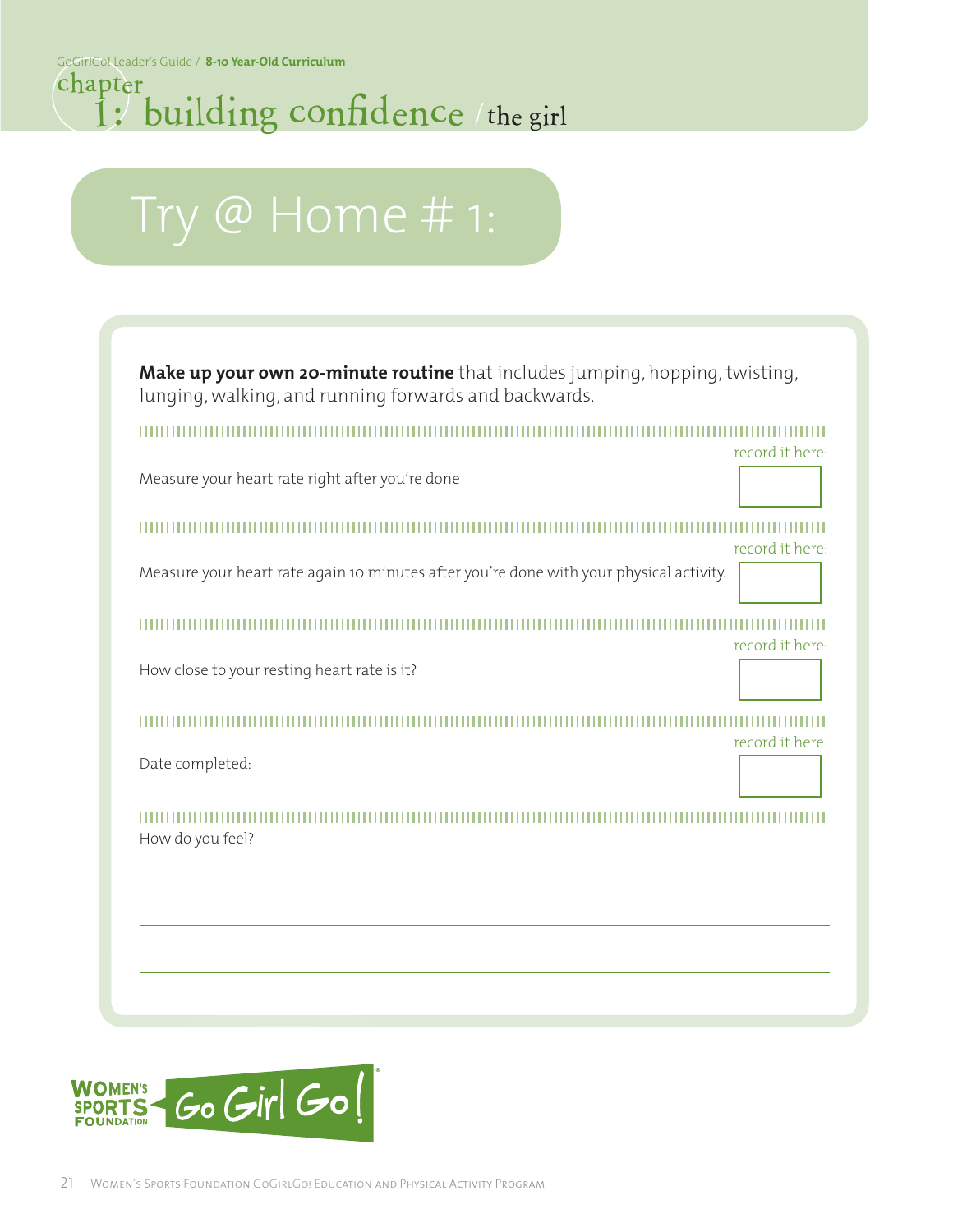### 1: building confidence the girl chapter

# Try @ Home # 1:

**Make up your own 20-minute routine** that includes jumping, hopping, twisting, lunging, walking, and running forwards and backwards.

,,,,,,,,,,,,,,,,,,,,,,,

Measure your heart rate right after you're done

record it here:

record it here:

record it here:

Measure your heart rate again 10 minutes after you're done with your physical activity.

record it here:

How close to your resting heart rate is it?

 $11111111$ 

Date completed:

How do you feel?